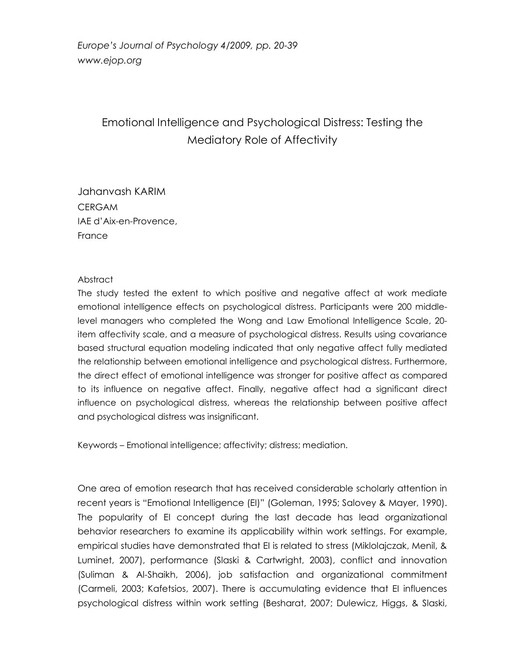# Emotional Intelligence and Psychological Distress: Testing the Mediatory Role of Affectivity

Jahanvash KARIM **CERGAM** IAE d'Aix-en-Provence, France

#### Abstract

The study tested the extent to which positive and negative affect at work mediate emotional intelligence effects on psychological distress. Participants were 200 middlelevel managers who completed the Wong and Law Emotional Intelligence Scale, 20 item affectivity scale, and a measure of psychological distress. Results using covariance based structural equation modeling indicated that only negative affect fully mediated the relationship between emotional intelligence and psychological distress. Furthermore, the direct effect of emotional intelligence was stronger for positive affect as compared to its influence on negative affect. Finally, negative affect had a significant direct influence on psychological distress, whereas the relationship between positive affect and psychological distress was insignificant.

Keywords – Emotional intelligence; affectivity; distress; mediation.

One area of emotion research that has received considerable scholarly attention in recent years is "Emotional Intelligence (EI)" (Goleman, 1995; Salovey & Mayer, 1990). The popularity of EI concept during the last decade has lead organizational behavior researchers to examine its applicability within work settings. For example, empirical studies have demonstrated that EI is related to stress (Miklolajczak, Menil, & Luminet, 2007), performance (Slaski & Cartwright, 2003), conflict and innovation (Suliman & Al-Shaikh, 2006), job satisfaction and organizational commitment (Carmeli, 2003; Kafetsios, 2007). There is accumulating evidence that EI influences psychological distress within work setting (Besharat, 2007; Dulewicz, Higgs, & Slaski,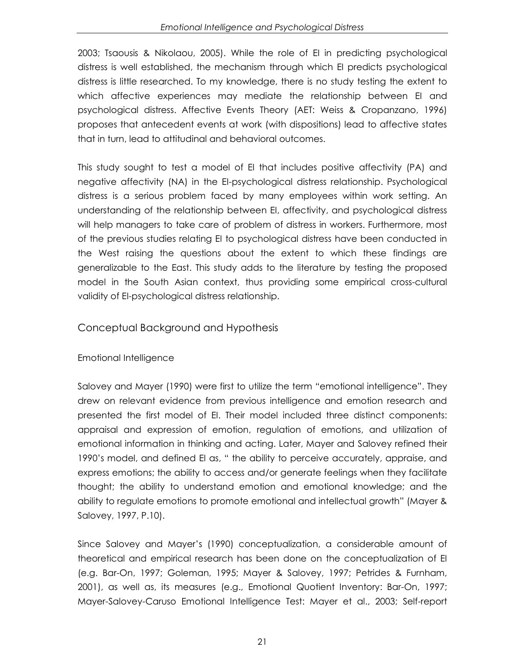2003; Tsaousis & Nikolaou, 2005). While the role of EI in predicting psychological distress is well established, the mechanism through which EI predicts psychological distress is little researched. To my knowledge, there is no study testing the extent to which affective experiences may mediate the relationship between EI and psychological distress. Affective Events Theory (AET: Weiss & Cropanzano, 1996) proposes that antecedent events at work (with dispositions) lead to affective states that in turn, lead to attitudinal and behavioral outcomes.

This study sought to test a model of EI that includes positive affectivity (PA) and negative affectivity (NA) in the EI-psychological distress relationship. Psychological distress is a serious problem faced by many employees within work setting. An understanding of the relationship between EI, affectivity, and psychological distress will help managers to take care of problem of distress in workers. Furthermore, most of the previous studies relating EI to psychological distress have been conducted in the West raising the questions about the extent to which these findings are generalizable to the East. This study adds to the literature by testing the proposed model in the South Asian context, thus providing some empirical cross-cultural validity of EI-psychological distress relationship.

# Conceptual Background and Hypothesis

# Emotional Intelligence

Salovey and Mayer (1990) were first to utilize the term "emotional intelligence". They drew on relevant evidence from previous intelligence and emotion research and presented the first model of EI. Their model included three distinct components: appraisal and expression of emotion, regulation of emotions, and utilization of emotional information in thinking and acting. Later, Mayer and Salovey refined their 1990's model, and defined EI as, " the ability to perceive accurately, appraise, and express emotions; the ability to access and/or generate feelings when they facilitate thought; the ability to understand emotion and emotional knowledge; and the ability to regulate emotions to promote emotional and intellectual growth" (Mayer & Salovey, 1997, P.10).

Since Salovey and Mayer's (1990) conceptualization, a considerable amount of theoretical and empirical research has been done on the conceptualization of EI (e.g. Bar-On, 1997; Goleman, 1995; Mayer & Salovey, 1997; Petrides & Furnham, 2001), as well as, its measures (e.g., Emotional Quotient Inventory: Bar-On, 1997; Mayer-Salovey-Caruso Emotional Intelligence Test: Mayer et al., 2003; Self-report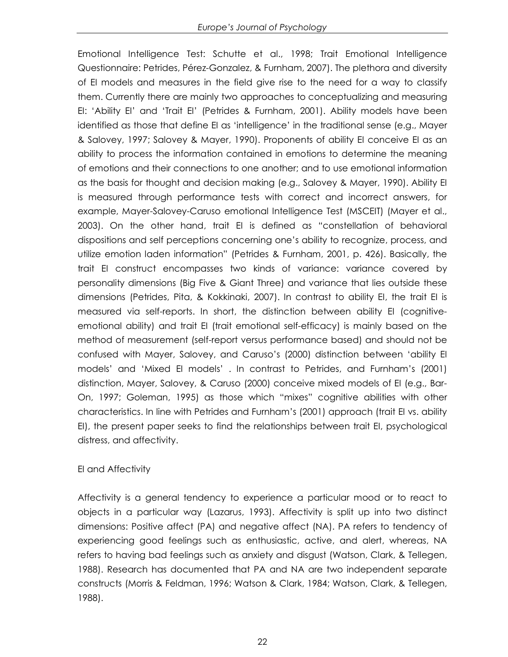Emotional Intelligence Test: Schutte et al., 1998; Trait Emotional Intelligence Questionnaire: Petrides, Pérez-Gonzalez, & Furnham, 2007). The plethora and diversity of EI models and measures in the field give rise to the need for a way to classify them. Currently there are mainly two approaches to conceptualizing and measuring EI: 'Ability EI' and 'Trait EI' (Petrides & Furnham, 2001). Ability models have been identified as those that define EI as 'intelligence' in the traditional sense (e.g., Mayer & Salovey, 1997; Salovey & Mayer, 1990). Proponents of ability EI conceive EI as an ability to process the information contained in emotions to determine the meaning of emotions and their connections to one another; and to use emotional information as the basis for thought and decision making (e.g., Salovey & Mayer, 1990). Ability EI is measured through performance tests with correct and incorrect answers, for example, Mayer-Salovey-Caruso emotional Intelligence Test (MSCEIT) (Mayer et al., 2003). On the other hand, trait EI is defined as "constellation of behavioral dispositions and self perceptions concerning one's ability to recognize, process, and utilize emotion laden information" (Petrides & Furnham, 2001, p. 426). Basically, the trait EI construct encompasses two kinds of variance: variance covered by personality dimensions (Big Five & Giant Three) and variance that lies outside these dimensions (Petrides, Pita, & Kokkinaki, 2007). In contrast to ability EI, the trait EI is measured via self-reports. In short, the distinction between ability EI (cognitiveemotional ability) and trait EI (trait emotional self-efficacy) is mainly based on the method of measurement (self-report versus performance based) and should not be confused with Mayer, Salovey, and Caruso's (2000) distinction between 'ability EI models' and 'Mixed EI models' . In contrast to Petrides, and Furnham's (2001) distinction, Mayer, Salovey, & Caruso (2000) conceive mixed models of EI (e.g., Bar-On, 1997; Goleman, 1995) as those which "mixes" cognitive abilities with other characteristics. In line with Petrides and Furnham's (2001) approach (trait EI vs. ability EI), the present paper seeks to find the relationships between trait EI, psychological distress, and affectivity.

### EI and Affectivity

Affectivity is a general tendency to experience a particular mood or to react to objects in a particular way (Lazarus, 1993). Affectivity is split up into two distinct dimensions: Positive affect (PA) and negative affect (NA). PA refers to tendency of experiencing good feelings such as enthusiastic, active, and alert, whereas, NA refers to having bad feelings such as anxiety and disgust (Watson, Clark, & Tellegen, 1988). Research has documented that PA and NA are two independent separate constructs (Morris & Feldman, 1996; Watson & Clark, 1984; Watson, Clark, & Tellegen, 1988).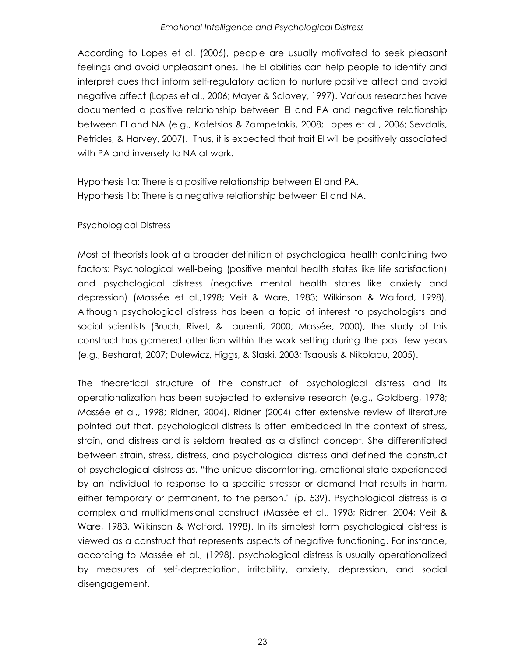According to Lopes et al. (2006), people are usually motivated to seek pleasant feelings and avoid unpleasant ones. The EI abilities can help people to identify and interpret cues that inform self-regulatory action to nurture positive affect and avoid negative affect (Lopes et al., 2006; Mayer & Salovey, 1997). Various researches have documented a positive relationship between EI and PA and negative relationship between EI and NA (e.g., Kafetsios & Zampetakis, 2008; Lopes et al., 2006; Sevdalis, Petrides, & Harvey, 2007). Thus, it is expected that trait EI will be positively associated with PA and inversely to NA at work.

Hypothesis 1a: There is a positive relationship between EI and PA. Hypothesis 1b: There is a negative relationship between EI and NA.

### Psychological Distress

Most of theorists look at a broader definition of psychological health containing two factors: Psychological well-being (positive mental health states like life satisfaction) and psychological distress (negative mental health states like anxiety and depression) (Massée et al.,1998; Veit & Ware, 1983; Wilkinson & Walford, 1998). Although psychological distress has been a topic of interest to psychologists and social scientists (Bruch, Rivet, & Laurenti, 2000; Massée, 2000), the study of this construct has garnered attention within the work setting during the past few years (e.g., Besharat, 2007; Dulewicz, Higgs, & Slaski, 2003; Tsaousis & Nikolaou, 2005).

The theoretical structure of the construct of psychological distress and its operationalization has been subjected to extensive research (e.g., Goldberg, 1978; Massée et al., 1998; Ridner, 2004). Ridner (2004) after extensive review of literature pointed out that, psychological distress is often embedded in the context of stress, strain, and distress and is seldom treated as a distinct concept. She differentiated between strain, stress, distress, and psychological distress and defined the construct of psychological distress as, "the unique discomforting, emotional state experienced by an individual to response to a specific stressor or demand that results in harm, either temporary or permanent, to the person." (p. 539). Psychological distress is a complex and multidimensional construct (Massée et al., 1998; Ridner, 2004; Veit & Ware, 1983, Wilkinson & Walford, 1998). In its simplest form psychological distress is viewed as a construct that represents aspects of negative functioning. For instance, according to Massée et al., (1998), psychological distress is usually operationalized by measures of self-depreciation, irritability, anxiety, depression, and social disengagement.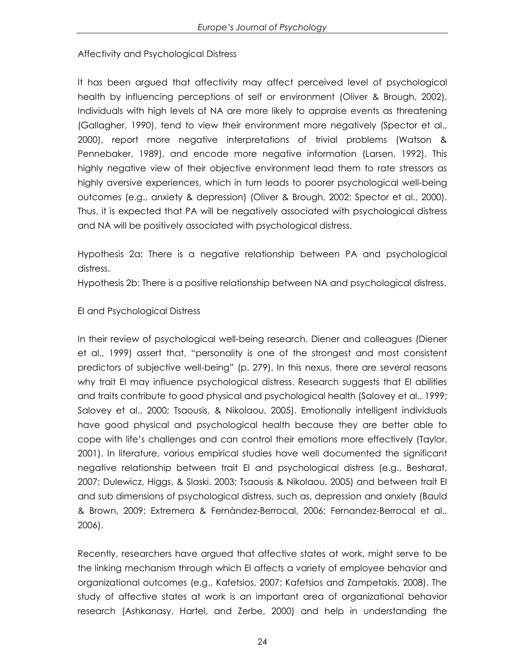## Affectivity and Psychological Distress

It has been argued that affectivity may affect perceived level of psychological health by influencing perceptions of self or environment (Oliver & Brough, 2002). Individuals with high levels of NA are more likely to appraise events as threatening (Gallagher, 1990), tend to view their environment more negatively (Spector et al., 2000), report more negative interpretations of trivial problems (Watson & Pennebaker, 1989), and encode more negative information (Larsen, 1992). This highly negative view of their objective environment lead them to rate stressors as highly aversive experiences, which in turn leads to poorer psychological well-being outcomes (e.g., anxiety & depression) (Oliver & Brough, 2002; Spector et al., 2000). Thus, it is expected that PA will be negatively associated with psychological distress and NA will be positively associated with psychological distress.

Hypothesis 2a: There is a negative relationship between PA and psychological distress.

Hypothesis 2b: There is a positive relationship between NA and psychological distress.

### EI and Psychological Distress

In their review of psychological well-being research, Diener and colleagues (Diener et al., 1999) assert that, "personality is one of the strongest and most consistent predictors of subjective well-being" (p. 279). In this nexus, there are several reasons why trait EI may influence psychological distress. Research suggests that EI abilities and traits contribute to good physical and psychological health (Salovey et al., 1999; Salovey et al., 2000; Tsaousis, & Nikolaou, 2005). Emotionally intelligent individuals have good physical and psychological health because they are better able to cope with life's challenges and can control their emotions more effectively (Taylor, 2001). In literature, various empirical studies have well documented the significant negative relationship between trait EI and psychological distress (e.g., Besharat, 2007; Dulewicz, Higgs, & Slaski, 2003; Tsaousis & Nikolaou, 2005) and between trait EI and sub dimensions of psychological distress, such as, depression and anxiety (Bauld & Brown, 2009; Extremera & Fernàndez-Berrocal, 2006; Fernandez-Berrocal et al., 2006).

Recently, researchers have argued that affective states at work, might serve to be the linking mechanism through which EI affects a variety of employee behavior and organizational outcomes (e.g., Kafetsios, 2007; Kafetsios and Zampetakis, 2008). The study of affective states at work is an important area of organizational behavior research (Ashkanasy, Hartel, and Zerbe, 2000) and help in understanding the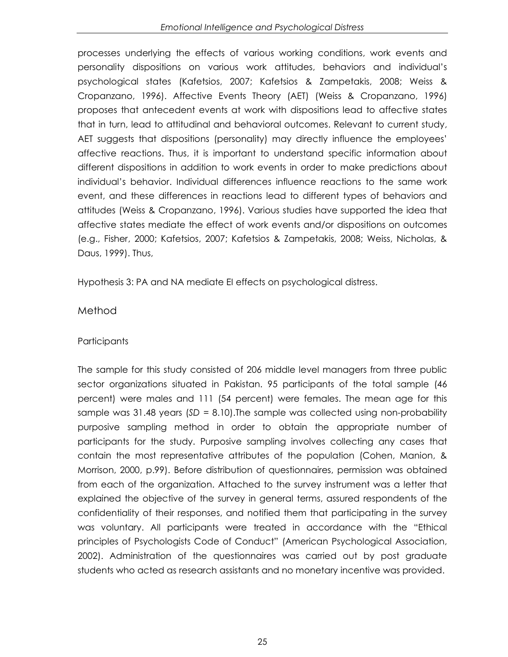processes underlying the effects of various working conditions, work events and personality dispositions on various work attitudes, behaviors and individual's psychological states (Kafetsios, 2007; Kafetsios & Zampetakis, 2008; Weiss & Cropanzano, 1996). Affective Events Theory (AET) (Weiss & Cropanzano, 1996) proposes that antecedent events at work with dispositions lead to affective states that in turn, lead to attitudinal and behavioral outcomes. Relevant to current study, AET suggests that dispositions (personality) may directly influence the employees' affective reactions. Thus, it is important to understand specific information about different dispositions in addition to work events in order to make predictions about individual's behavior. Individual differences influence reactions to the same work event, and these differences in reactions lead to different types of behaviors and attitudes (Weiss & Cropanzano, 1996). Various studies have supported the idea that affective states mediate the effect of work events and/or dispositions on outcomes (e.g., Fisher, 2000; Kafetsios, 2007; Kafetsios & Zampetakis, 2008; Weiss, Nicholas, & Daus, 1999). Thus,

Hypothesis 3: PA and NA mediate EI effects on psychological distress.

### Method

### **Participants**

The sample for this study consisted of 206 middle level managers from three public sector organizations situated in Pakistan. 95 participants of the total sample (46 percent) were males and 111 (54 percent) were females. The mean age for this sample was 31.48 years (*SD* = 8.10).The sample was collected using non-probability purposive sampling method in order to obtain the appropriate number of participants for the study. Purposive sampling involves collecting any cases that contain the most representative attributes of the population (Cohen, Manion, & Morrison, 2000, p.99). Before distribution of questionnaires, permission was obtained from each of the organization. Attached to the survey instrument was a letter that explained the objective of the survey in general terms, assured respondents of the confidentiality of their responses, and notified them that participating in the survey was voluntary. All participants were treated in accordance with the "Ethical principles of Psychologists Code of Conduct" (American Psychological Association, 2002). Administration of the questionnaires was carried out by post graduate students who acted as research assistants and no monetary incentive was provided.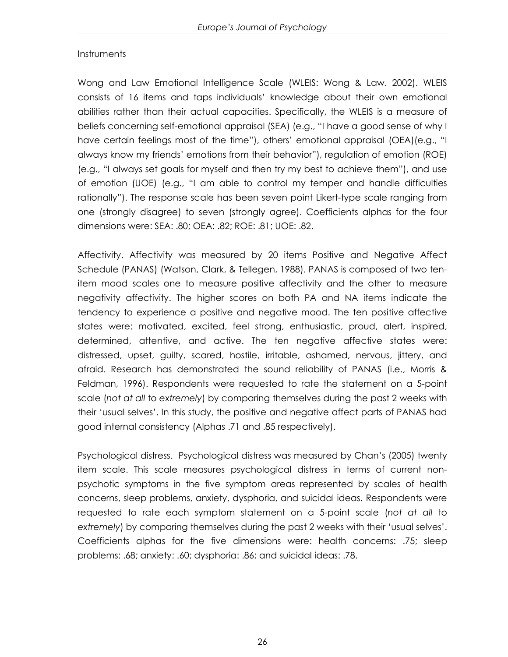### Instruments

Wong and Law Emotional Intelligence Scale (WLEIS: Wong & Law. 2002). WLEIS consists of 16 items and taps individuals' knowledge about their own emotional abilities rather than their actual capacities. Specifically, the WLEIS is a measure of beliefs concerning self-emotional appraisal (SEA) (e.g., "I have a good sense of why I have certain feelings most of the time"), others' emotional appraisal (OEA)(e.g., "I always know my friends' emotions from their behavior"), regulation of emotion (ROE) (e.g., "I always set goals for myself and then try my best to achieve them"), and use of emotion (UOE) (e.g., "I am able to control my temper and handle difficulties rationally"). The response scale has been seven point Likert-type scale ranging from one (strongly disagree) to seven (strongly agree). Coefficients alphas for the four dimensions were: SEA: .80; OEA: .82; ROE: .81; UOE: .82.

Affectivity. Affectivity was measured by 20 items Positive and Negative Affect Schedule (PANAS) (Watson, Clark, & Tellegen, 1988). PANAS is composed of two tenitem mood scales one to measure positive affectivity and the other to measure negativity affectivity. The higher scores on both PA and NA items indicate the tendency to experience a positive and negative mood. The ten positive affective states were: motivated, excited, feel strong, enthusiastic, proud, alert, inspired, determined, attentive, and active. The ten negative affective states were: distressed, upset, guilty, scared, hostile, irritable, ashamed, nervous, jittery, and afraid. Research has demonstrated the sound reliability of PANAS (i.e., Morris & Feldman, 1996). Respondents were requested to rate the statement on a 5-point scale (*not at all* to *extremely*) by comparing themselves during the past 2 weeks with their 'usual selves'. In this study, the positive and negative affect parts of PANAS had good internal consistency (Alphas .71 and .85 respectively).

Psychological distress. Psychological distress was measured by Chan's (2005) twenty item scale. This scale measures psychological distress in terms of current nonpsychotic symptoms in the five symptom areas represented by scales of health concerns, sleep problems, anxiety, dysphoria, and suicidal ideas. Respondents were requested to rate each symptom statement on a 5-point scale (*not at all* to *extremely*) by comparing themselves during the past 2 weeks with their 'usual selves'. Coefficients alphas for the five dimensions were: health concerns: .75; sleep problems: .68; anxiety: .60; dysphoria: .86; and suicidal ideas: .78.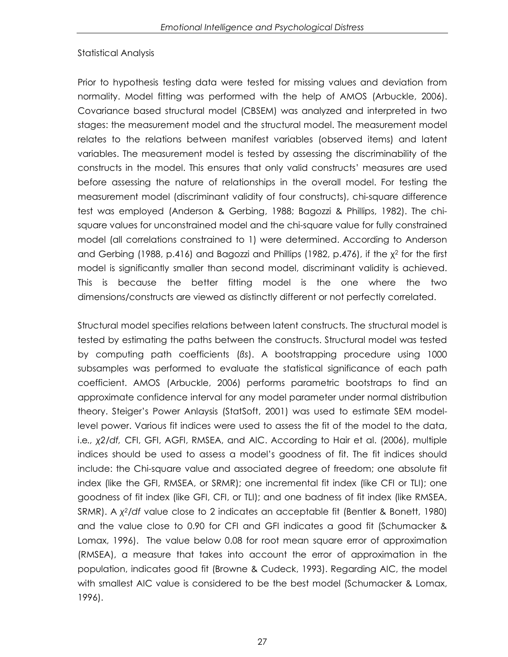### Statistical Analysis

Prior to hypothesis testing data were tested for missing values and deviation from normality. Model fitting was performed with the help of AMOS (Arbuckle, 2006). Covariance based structural model (CBSEM) was analyzed and interpreted in two stages: the measurement model and the structural model. The measurement model relates to the relations between manifest variables (observed items) and latent variables. The measurement model is tested by assessing the discriminability of the constructs in the model. This ensures that only valid constructs' measures are used before assessing the nature of relationships in the overall model. For testing the measurement model (discriminant validity of four constructs), chi-square difference test was employed (Anderson & Gerbing, 1988; Bagozzi & Phillips, 1982). The chisquare values for unconstrained model and the chi-square value for fully constrained model (all correlations constrained to 1) were determined. According to Anderson and Gerbing (1988, p.416) and Bagozzi and Phillips (1982, p.476), if the  $\chi^2$  for the first model is significantly smaller than second model, discriminant validity is achieved. This is because the better fitting model is the one where the two dimensions/constructs are viewed as distinctly different or not perfectly correlated.

Structural model specifies relations between latent constructs. The structural model is tested by estimating the paths between the constructs. Structural model was tested by computing path coefficients (*ßs*). A bootstrapping procedure using 1000 subsamples was performed to evaluate the statistical significance of each path coefficient. AMOS (Arbuckle, 2006) performs parametric bootstraps to find an approximate confidence interval for any model parameter under normal distribution theory. Steiger's Power Anlaysis (StatSoft, 2001) was used to estimate SEM modellevel power. Various fit indices were used to assess the fit of the model to the data, i.e*., χ2*/*df,* CFI, GFI, AGFI, RMSEA, and AIC. According to Hair et al. (2006), multiple indices should be used to assess a model's goodness of fit. The fit indices should include: the Chi-square value and associated degree of freedom; one absolute fit index (like the GFI, RMSEA, or SRMR); one incremental fit index (like CFI or TLI); one goodness of fit index (like GFI, CFI, or TLI); and one badness of fit index (like RMSEA, SRMR). A *χ <sup>2</sup>/df* value close to 2 indicates an acceptable fit (Bentler & Bonett, 1980) and the value close to 0.90 for CFI and GFI indicates a good fit (Schumacker & Lomax, 1996). The value below 0.08 for root mean square error of approximation (RMSEA), a measure that takes into account the error of approximation in the population, indicates good fit (Browne & Cudeck, 1993). Regarding AIC, the model with smallest AIC value is considered to be the best model (Schumacker & Lomax, 1996).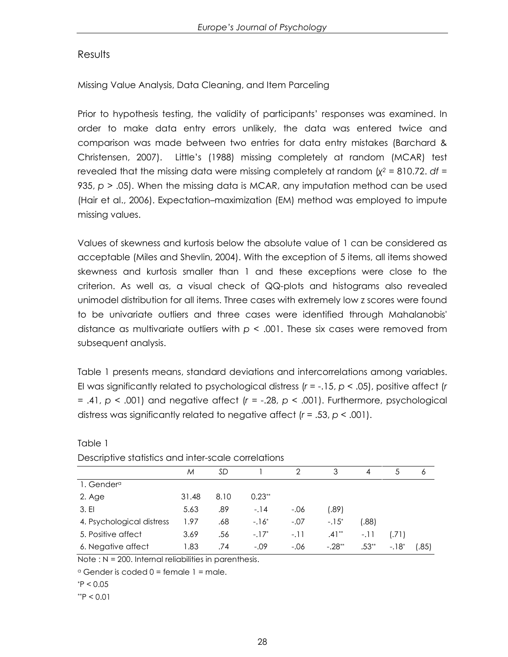# **Results**

Missing Value Analysis, Data Cleaning, and Item Parceling

Prior to hypothesis testing, the validity of participants' responses was examined. In order to make data entry errors unlikely, the data was entered twice and comparison was made between two entries for data entry mistakes (Barchard & Christensen, 2007). Little's (1988) missing completely at random (MCAR) test revealed that the missing data were missing completely at random (*χ <sup>2</sup>* = 810.72. *df* = 935, *p* > .05). When the missing data is MCAR, any imputation method can be used (Hair et al., 2006). Expectation–maximization (EM) method was employed to impute missing values.

Values of skewness and kurtosis below the absolute value of 1 can be considered as acceptable (Miles and Shevlin, 2004). With the exception of 5 items, all items showed skewness and kurtosis smaller than 1 and these exceptions were close to the criterion. As well as, a visual check of QQ-plots and histograms also revealed unimodel distribution for all items. Three cases with extremely low z scores were found to be univariate outliers and three cases were identified through Mahalanobis' distance as multivariate outliers with *p* < .001. These six cases were removed from subsequent analysis.

Table 1 presents means, standard deviations and intercorrelations among variables. EI was significantly related to psychological distress (*r* = -.15, *p* < .05), positive affect (*r* = .41, *p* < .001) and negative affect (*r* = -.28, *p* < .001). Furthermore, psychological distress was significantly related to negative affect (*r* = .53, *p* < .001).

| Descriptive signstics and imer-scale correlations |       |      |          |         |          |         |          |       |
|---------------------------------------------------|-------|------|----------|---------|----------|---------|----------|-------|
|                                                   | М     | SD   |          | 2       | 3        | 4       |          | 6     |
| 1. Gender <sup>a</sup>                            |       |      |          |         |          |         |          |       |
| 2. Age                                            | 31.48 | 8.10 | $0.23**$ |         |          |         |          |       |
| 3. EI                                             | 5.63  | .89  | $-14$    | $-0.06$ | (.89)    |         |          |       |
| 4. Psychological distress                         | 1.97  | .68  | $-16^*$  | $-.07$  | $-.15^*$ | (88.)   |          |       |
| 5. Positive affect                                | 3.69  | .56  | $-.17^*$ | $-11$   | .41**    | $-11$   | (.71)    |       |
| 6. Negative affect                                | 1.83  | .74  | $-.09$   | $-0.06$ | $-.28**$ | $.53**$ | $-.18^*$ | (.85) |

|  |  | Descriptive statistics and inter-scale correlations |
|--|--|-----------------------------------------------------|

Note : N = 200. Internal reliabilities in parenthesis.

 $\alpha$  Gender is coded  $\beta$  = female  $1$  = male.

$$
^{\ast }\mathsf{P}<0.05
$$

Table 1

 $*$  $P$  < 0.01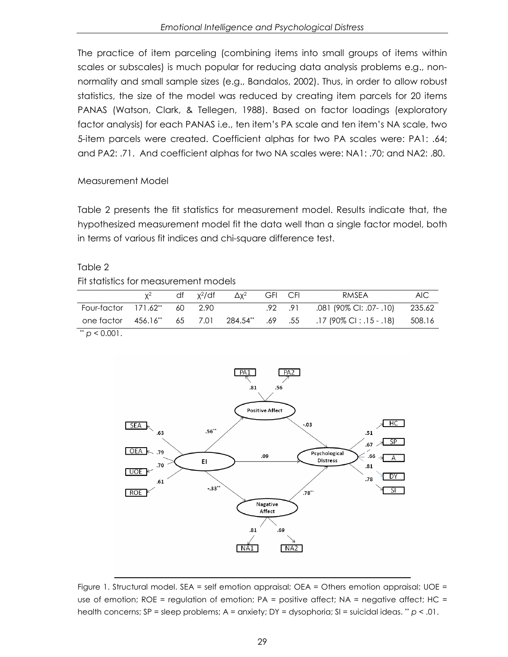The practice of item parceling (combining items into small groups of items within scales or subscales) is much popular for reducing data analysis problems e.g., nonnormality and small sample sizes (e.g., Bandalos, 2002). Thus, in order to allow robust statistics, the size of the model was reduced by creating item parcels for 20 items PANAS (Watson, Clark, & Tellegen, 1988). Based on factor loadings (exploratory factor analysis) for each PANAS i.e., ten item's PA scale and ten item's NA scale, two 5-item parcels were created. Coefficient alphas for two PA scales were: PA1: .64; and PA2: .71. And coefficient alphas for two NA scales were: NA1: .70; and NA2: .80.

### Measurement Model

Table 2 presents the fit statistics for measurement model. Results indicate that, the hypothesized measurement model fit the data well than a single factor model, both in terms of various fit indices and chi-square difference test.

### Table 2

### Fit statistics for measurement models

|                              |  | df x <sup>2</sup> /df | Δx <sup>2</sup> GFI CFI |  | RMSEA                                                                    | AIC. |
|------------------------------|--|-----------------------|-------------------------|--|--------------------------------------------------------------------------|------|
| Four-factor 171.62** 60 2.90 |  |                       |                         |  | .92 .91 .081 (90% CI: .07- .10) 235.62                                   |      |
|                              |  |                       |                         |  | one factor 456.16** 65 7.01 284.54* .69 .55 .17 (90% CI: 15 - 18) 508.16 |      |

 $*$ <sup>\*</sup> *p* < 0.001.



Figure 1. Structural model. SEA = self emotion appraisal; OEA = Others emotion appraisal; UOE = use of emotion; ROE = regulation of emotion;  $PA =$  positive affect;  $NA =$  negative affect; HC = health concerns; SP = sleep problems; A = anxiety; DY = dysophoria; SI = suicidal ideas. \*\* *p* < .01.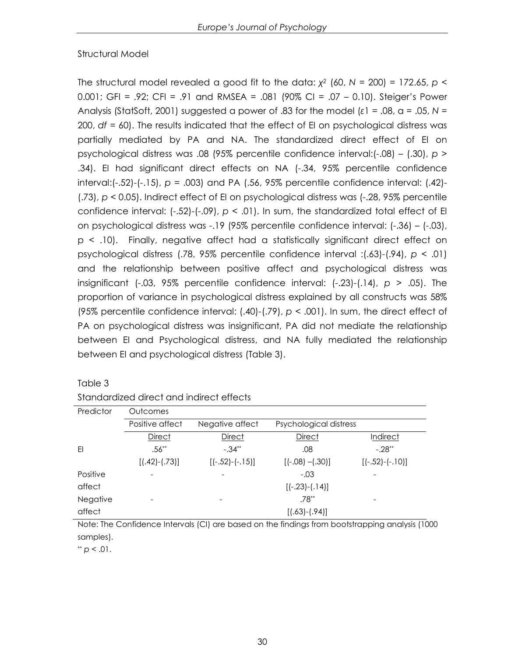# Structural Model

The structural model revealed a good fit to the data:  $\chi^2$  (60, N = 200) = 172.65, p < 0.001; GFI = .92; CFI = .91 and RMSEA = .081 (90% CI = .07 – 0.10). Steiger's Power Analysis (StatSoft, 2001) suggested a power of .83 for the model (*ε*1 = .08, α = .05, *N* = 200, *df* = 60). The results indicated that the effect of EI on psychological distress was partially mediated by PA and NA. The standardized direct effect of EI on psychological distress was .08 (95% percentile confidence interval:(-.08) – (.30), *p* > .34). EI had significant direct effects on NA (-.34, 95% percentile confidence interval:(-.52)-(-.15), *p* = .003) and PA (.56, 95% percentile confidence interval: (.42)- (.73), *p* < 0.05). Indirect effect of EI on psychological distress was (-.28, 95% percentile confidence interval: (-.52)-(-.09), *p* < .01). In sum, the standardized total effect of EI on psychological distress was -.19 (95% percentile confidence interval: (-.36) – (-.03), p < .10). Finally, negative affect had a statistically significant direct effect on psychological distress (.78, 95% percentile confidence interval :(.63)-(.94), *p* < .01) and the relationship between positive affect and psychological distress was insignificant (-.03, 95% percentile confidence interval: (-.23)-(.14), *p* > .05). The proportion of variance in psychological distress explained by all constructs was 58% (95% percentile confidence interval: (.40)-(.79), *p* < .001). In sum, the direct effect of PA on psychological distress was insignificant, PA did not mediate the relationship between EI and Psychological distress, and NA fully mediated the relationship between EI and psychological distress (Table 3).

### Table 3

| Predictor       | Outcomes        |                                           |                    |                     |
|-----------------|-----------------|-------------------------------------------|--------------------|---------------------|
|                 | Positive affect | Negative affect<br>Psychological distress |                    |                     |
|                 | <b>Direct</b>   | Direct                                    | <b>Direct</b>      | Indirect            |
| EI              | $.56***$        | $-.34**$                                  | .08                | $-.28**$            |
|                 | $[(.42)-(.73)]$ | $[(-.52) - (-.15)]$                       | $[(-.08) - (.30)]$ | $[(-.52) - (-.10)]$ |
| Positive        |                 |                                           | $-.03$             |                     |
| affect          |                 |                                           | $[(-.23)-(.14)]$   |                     |
| <b>Negative</b> |                 |                                           | $.78^{**}$         |                     |
| affect          |                 |                                           | $[(.63)-(.94)]$    |                     |

Standardized direct and indirect effects

Note: The Confidence Intervals (CI) are based on the findings from bootstrapping analysis (1000 samples).

 $*$  *p* < .01.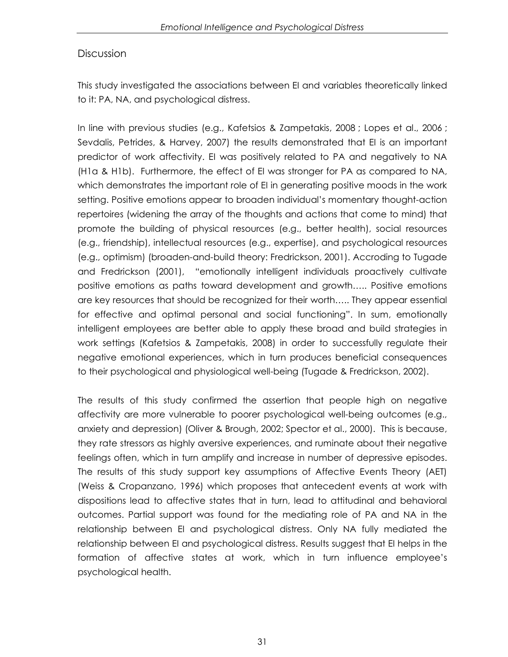# **Discussion**

This study investigated the associations between EI and variables theoretically linked to it: PA, NA, and psychological distress.

In line with previous studies (e.g., Kafetsios & Zampetakis, 2008 ; Lopes et al., 2006 ; Sevdalis, Petrides, & Harvey, 2007) the results demonstrated that EI is an important predictor of work affectivity. EI was positively related to PA and negatively to NA (H1a & H1b). Furthermore, the effect of EI was stronger for PA as compared to NA, which demonstrates the important role of EI in generating positive moods in the work setting. Positive emotions appear to broaden individual's momentary thought-action repertoires (widening the array of the thoughts and actions that come to mind) that promote the building of physical resources (e.g., better health), social resources (e.g., friendship), intellectual resources (e.g., expertise), and psychological resources (e.g., optimism) (broaden-and-build theory: Fredrickson, 2001). Accroding to Tugade and Fredrickson (2001), "emotionally intelligent individuals proactively cultivate positive emotions as paths toward development and growth….. Positive emotions are key resources that should be recognized for their worth….. They appear essential for effective and optimal personal and social functioning". In sum, emotionally intelligent employees are better able to apply these broad and build strategies in work settings (Kafetsios & Zampetakis, 2008) in order to successfully regulate their negative emotional experiences, which in turn produces beneficial consequences to their psychological and physiological well-being (Tugade & Fredrickson, 2002).

The results of this study confirmed the assertion that people high on negative affectivity are more vulnerable to poorer psychological well-being outcomes (e.g., anxiety and depression) (Oliver & Brough, 2002; Spector et al., 2000). This is because, they rate stressors as highly aversive experiences, and ruminate about their negative feelings often, which in turn amplify and increase in number of depressive episodes. The results of this study support key assumptions of Affective Events Theory (AET) (Weiss & Cropanzano, 1996) which proposes that antecedent events at work with dispositions lead to affective states that in turn, lead to attitudinal and behavioral outcomes. Partial support was found for the mediating role of PA and NA in the relationship between EI and psychological distress. Only NA fully mediated the relationship between EI and psychological distress. Results suggest that EI helps in the formation of affective states at work, which in turn influence employee's psychological health.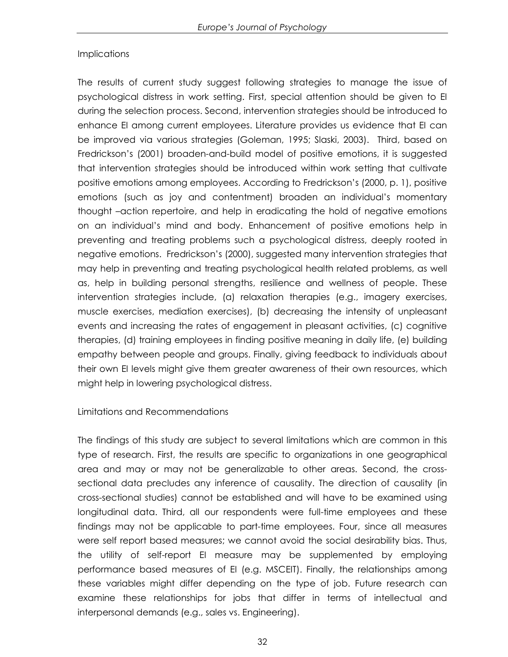### Implications

The results of current study suggest following strategies to manage the issue of psychological distress in work setting. First, special attention should be given to EI during the selection process. Second, intervention strategies should be introduced to enhance EI among current employees. Literature provides us evidence that EI can be improved via various strategies (Goleman, 1995; Slaski, 2003). Third, based on Fredrickson's (2001) broaden-and-build model of positive emotions, it is suggested that intervention strategies should be introduced within work setting that cultivate positive emotions among employees. According to Fredrickson's (2000, p. 1), positive emotions (such as joy and contentment) broaden an individual's momentary thought –action repertoire, and help in eradicating the hold of negative emotions on an individual's mind and body. Enhancement of positive emotions help in preventing and treating problems such a psychological distress, deeply rooted in negative emotions. Fredrickson's (2000), suggested many intervention strategies that may help in preventing and treating psychological health related problems, as well as, help in building personal strengths, resilience and wellness of people. These intervention strategies include, (a) relaxation therapies (e.g., imagery exercises, muscle exercises, mediation exercises), (b) decreasing the intensity of unpleasant events and increasing the rates of engagement in pleasant activities, (c) cognitive therapies, (d) training employees in finding positive meaning in daily life, (e) building empathy between people and groups. Finally, giving feedback to individuals about their own EI levels might give them greater awareness of their own resources, which might help in lowering psychological distress.

### Limitations and Recommendations

The findings of this study are subject to several limitations which are common in this type of research. First, the results are specific to organizations in one geographical area and may or may not be generalizable to other areas. Second, the crosssectional data precludes any inference of causality. The direction of causality (in cross-sectional studies) cannot be established and will have to be examined using longitudinal data. Third, all our respondents were full-time employees and these findings may not be applicable to part-time employees. Four, since all measures were self report based measures; we cannot avoid the social desirability bias. Thus, the utility of self-report EI measure may be supplemented by employing performance based measures of EI (e.g. MSCEIT). Finally, the relationships among these variables might differ depending on the type of job. Future research can examine these relationships for jobs that differ in terms of intellectual and interpersonal demands (e.g., sales vs. Engineering).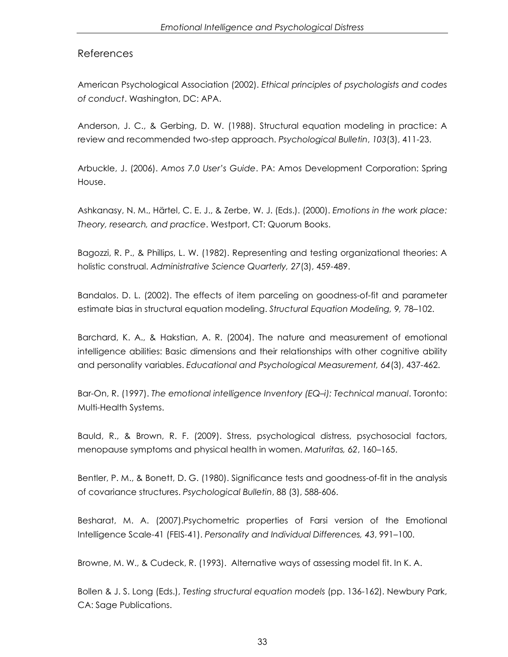# References

American Psychological Association (2002). *Ethical principles of psychologists and codes of conduct*. Washington, DC: APA.

Anderson, J. C., & Gerbing, D. W. (1988). Structural equation modeling in practice: A review and recommended two-step approach. *Psychological Bulletin*, *103*(3), 411-23.

Arbuckle, J. (2006). *Amos 7.0 User's Guide*. PA: Amos Development Corporation: Spring House.

Ashkanasy, N. M., Härtel, C. E. J., & Zerbe, W. J. (Eds.). (2000). *Emotions in the work place: Theory, research, and practice*. Westport, CT: Quorum Books.

Bagozzi, R. P., & Phillips, L. W. (1982). Representing and testing organizational theories: A holistic construal. *Administrative Science Quarterly, 27*(3), 459-489.

Bandalos. D. L. (2002). The effects of item parceling on goodness-of-fit and parameter estimate bias in structural equation modeling. *Structural Equation Modeling, 9,* 78–102.

Barchard, K. A., & Hakstian, A. R. (2004). The nature and measurement of emotional intelligence abilities: Basic dimensions and their relationships with other cognitive ability and personality variables. *Educational and Psychological Measurement, 64*(3), 437-462.

Bar-On, R. (1997). *The emotional intelligence Inventory (EQ–i): Technical manual*. Toronto: Multi-Health Systems.

Bauld, R., & Brown, R. F. (2009). Stress, psychological distress, psychosocial factors, menopause symptoms and physical health in women. *Maturitas, 62*, 160–165.

Bentler, P. M., & Bonett, D. G. (1980). Significance tests and goodness-of-fit in the analysis of covariance structures. *Psychological Bulletin*, 88 (3), 588-606.

Besharat, M. A. (2007).Psychometric properties of Farsi version of the Emotional Intelligence Scale-41 (FEIS-41). *Personality and Individual Differences, 43*, 991–100.

Browne, M. W., & Cudeck, R. (1993). Alternative ways of assessing model fit. In K. A.

Bollen & J. S. Long (Eds.), *Testing structural equation models* (pp. 136-162). Newbury Park, CA: Sage Publications.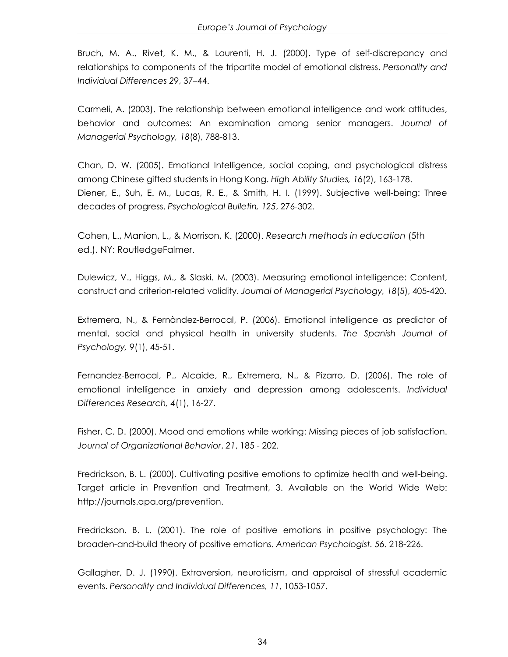Bruch, M. A., Rivet, K. M., & Laurenti, H. J. (2000). Type of self-discrepancy and relationships to components of the tripartite model of emotional distress. *Personality and Individual Differences 29*, 37–44.

Carmeli, A. (2003). The relationship between emotional intelligence and work attitudes, behavior and outcomes: An examination among senior managers. *Journal of Managerial Psychology, 18*(8), 788-813.

Chan, D. W. (2005). Emotional Intelligence, social coping, and psychological distress among Chinese gifted students in Hong Kong. *High Ability Studies, 16*(2), 163-178. Diener, E., Suh, E. M., Lucas, R. E., & Smith, H. I. (1999). Subjective well-being: Three decades of progress. *Psychological Bulletin, 125*, 276-302.

Cohen, L., Manion, L., & Morrison, K. (2000). *Research methods in education* (5th ed.). NY: RoutledgeFalmer.

Dulewicz, V., Higgs, M., & Slaski. M. (2003). Measuring emotional intelligence: Content, construct and criterion-related validity. *Journal of Managerial Psychology, 18*(5), 405-420.

Extremera, N., & Fernàndez-Berrocal, P. (2006). Emotional intelligence as predictor of mental, social and physical health in university students. *The Spanish Journal of Psychology, 9*(1), 45-51.

Fernandez-Berrocal, P., Alcaide, R., Extremera, N., & Pizarro, D. (2006). The role of emotional intelligence in anxiety and depression among adolescents. *Individual Differences Research, 4*(1), 16-27.

Fisher, C. D. (2000). Mood and emotions while working: Missing pieces of job satisfaction. *Journal of Organizational Behavior*, *21*, 185 - 202.

Fredrickson, B. L. (2000). Cultivating positive emotions to optimize health and well-being. Target article in Prevention and Treatment, 3. Available on the World Wide Web: http://journals.apa.org/prevention.

Fredrickson. B. L. (2001). The role of positive emotions in positive psychology: The broaden-and-build theory of positive emotions. *American Psychologist. 56*. 218-226.

Gallagher, D. J. (1990). Extraversion, neuroticism, and appraisal of stressful academic events. *Personality and Individual Differences, 11*, 1053-1057.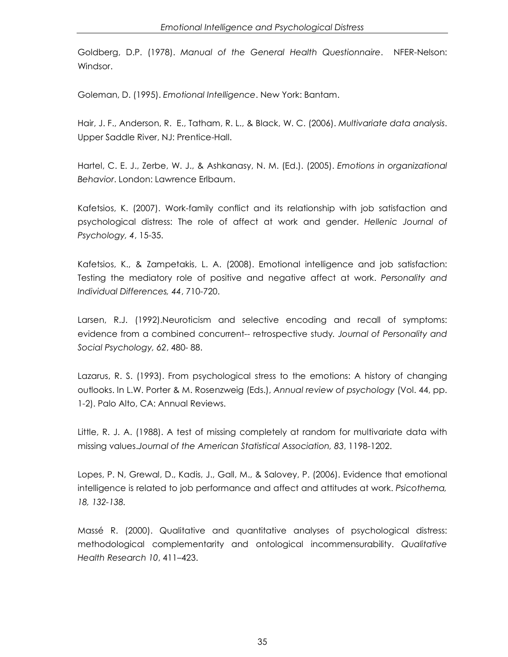Goldberg, D.P. (1978). *Manual of the General Health Questionnaire*. NFER-Nelson: **Windsor** 

Goleman, D. (1995). *Emotional Intelligence*. New York: Bantam.

Hair, J. F., Anderson, R. E., Tatham, R. L., & Black, W. C. (2006). *Multivariate data analysis*. Upper Saddle River, NJ: Prentice-Hall.

Hartel, C. E. J., Zerbe, W. J., & Ashkanasy, N. M. (Ed.). (2005). *Emotions in organizational Behavior*. London: Lawrence Erlbaum.

Kafetsios, K. (2007). Work-family conflict and its relationship with job satisfaction and psychological distress: The role of affect at work and gender. *Hellenic Journal of Psychology, 4*, 15-35.

Kafetsios, K., & Zampetakis, L. A. (2008). Emotional intelligence and job satisfaction: Testing the mediatory role of positive and negative affect at work. *Personality and Individual Differences, 44*, 710-720.

Larsen, R.J. (1992).Neuroticism and selective encoding and recall of symptoms: evidence from a combined concurrent-- retrospective study*. Journal of Personality and Social Psychology, 62*, 480- 88.

Lazarus, R. S. (1993). From psychological stress to the emotions: A history of changing outlooks. In L.W. Porter & M. Rosenzweig (Eds.), *Annual review of psychology* (Vol. 44, pp. 1-2). Palo Alto, CA: Annual Reviews.

Little, R. J. A. (1988). A test of missing completely at random for multivariate data with missing values.*Journal of the American Statistical Association, 83*, 1198-1202.

Lopes, P. N, Grewal, D., Kadis, J., Gall, M., & Salovey, P. (2006). Evidence that emotional intelligence is related to job performance and affect and attitudes at work. *Psicothema, 18, 132-138.* 

Massé R. (2000). Qualitative and quantitative analyses of psychological distress: methodological complementarity and ontological incommensurability. *Qualitative Health Research 10*, 411–423.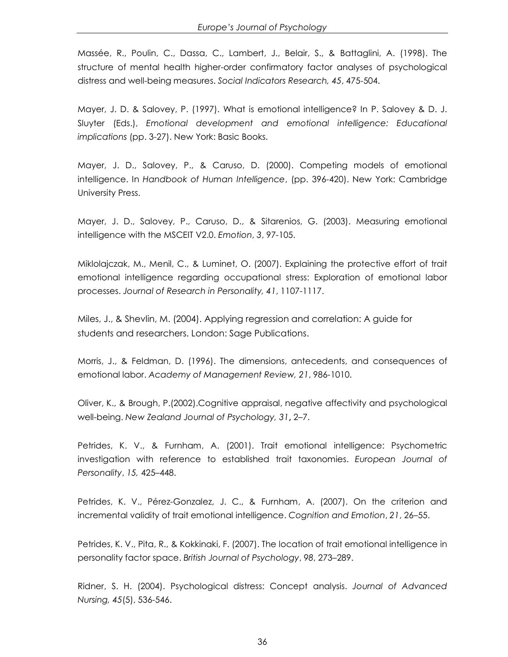Massée, R., Poulin, C., Dassa, C., Lambert, J., Belair, S., & Battaglini, A. (1998). The structure of mental health higher-order confirmatory factor analyses of psychological distress and well-being measures. *Social Indicators Research, 45*, 475-504.

Mayer, J. D. & Salovey, P. (1997). What is emotional intelligence? In P. Salovey & D. J. Sluyter (Eds.), *Emotional development and emotional intelligence: Educational implications* (pp. 3-27). New York: Basic Books.

Mayer, J. D., Salovey, P., & Caruso, D. (2000). Competing models of emotional intelligence. In *Handbook of Human Intelligence*, (pp. 396-420). New York: Cambridge University Press.

Mayer, J. D., Salovey, P., Caruso, D., & Sitarenios, G. (2003). Measuring emotional intelligence with the MSCEIT V2.0. *Emotion*, *3*, 97-105.

Miklolajczak, M., Menil, C., & Luminet, O. (2007). Explaining the protective effort of trait emotional intelligence regarding occupational stress: Exploration of emotional labor processes. *Journal of Research in Personality, 41*, 1107-1117.

Miles, J., & Shevlin, M. (2004). Applying regression and correlation: A guide for students and researchers. London: Sage Publications.

Morris, J., & Feldman, D. (1996). The dimensions, antecedents, and consequences of emotional labor. *Academy of Management Review, 21*, 986-1010.

Oliver, K., & Brough, P.(2002).Cognitive appraisal, negative affectivity and psychological well-being. *New Zealand Journal of Psychology, 31***,** 2–7.

Petrides, K. V., & Furnham, A. (2001). Trait emotional intelligence: Psychometric investigation with reference to established trait taxonomies. *European Journal of Personality*, *15,* 425–448.

Petrides, K. V., Pérez-Gonzalez, J. C., & Furnham, A. (2007). On the criterion and incremental validity of trait emotional intelligence. *Cognition and Emotion*, *21*, 26–55.

Petrides, K. V., Pita, R., & Kokkinaki, F. (2007). The location of trait emotional intelligence in personality factor space. *British Journal of Psychology*, *98*, 273–289.

Ridner, S. H. (2004). Psychological distress: Concept analysis. *Journal of Advanced Nursing, 45*(5), 536-546.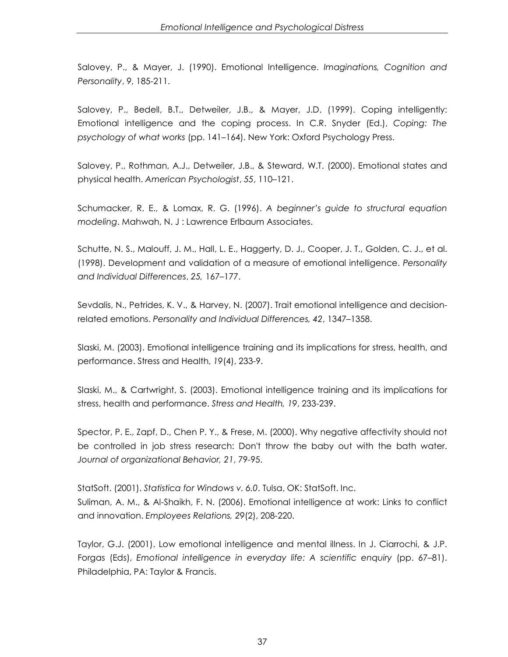Salovey, P., & Mayer, J. (1990). Emotional Intelligence. *Imaginations, Cognition and Personality*, *9*, 185-211.

Salovey, P., Bedell, B.T., Detweiler, J.B., & Mayer, J.D. (1999). Coping intelligently: Emotional intelligence and the coping process. In C.R. Snyder (Ed.), *Coping: The psychology of what works* (pp. 141–164). New York: Oxford Psychology Press.

Salovey, P., Rothman, A.J., Detweiler, J.B., & Steward, W.T. (2000). Emotional states and physical health. *American Psychologist*, *55*, 110–121.

Schumacker, R. E., & Lomax, R. G. (1996). *A beginner's guide to structural equation modeling*. Mahwah, N. J : Lawrence Erlbaum Associates.

Schutte, N. S., Malouff, J. M., Hall, L. E., Haggerty, D. J., Cooper, J. T., Golden, C. J., et al. (1998). Development and validation of a measure of emotional intelligence. *Personality and Individual Differences*, *25,* 167–177.

Sevdalis, N., Petrides, K. V., & Harvey, N. (2007). Trait emotional intelligence and decisionrelated emotions. *Personality and Individual Differences, 42*, 1347–1358.

Slaski, M. (2003). Emotional intelligence training and its implications for stress, health, and performance. Stress and Health, *19*(4), 233-9.

Slaski, M., & Cartwright, S. (2003). Emotional intelligence training and its implications for stress, health and performance. *Stress and Health, 19*, 233-239.

Spector, P. E., Zapf, D., Chen P. Y., & Frese, M. (2000). Why negative affectivity should not be controlled in job stress research: Don't throw the baby out with the bath water. *Journal of organizational Behavior, 21*, 79-95.

StatSoft. (2001). *Statistica for Windows v. 6.0*. Tulsa, OK: StatSoft. Inc. Suliman, A. M., & Al-Shaikh, F. N. (2006). Emotional intelligence at work: Links to conflict and innovation. *Employees Relations, 29*(2), 208-220.

Taylor, G.J. (2001). Low emotional intelligence and mental illness. In J. Ciarrochi, & J.P. Forgas (Eds), *Emotional intelligence in everyday life: A scientific enquiry* (pp. 67–81). Philadelphia, PA: Taylor & Francis.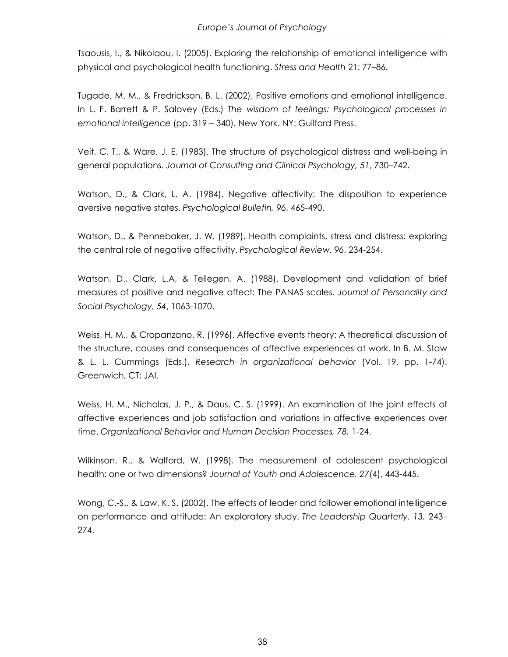Tsaousis, I., & Nikolaou, I. (2005). Exploring the relationship of emotional intelligence with physical and psychological health functioning. *Stress and Health* 21: 77–86.

Tugade, M. M., & Fredrickson, B. L. (2002). Positive emotions and emotional intelligence. In L. F. Barrett & P. Salovey (Eds.) *The wisdom of feelings: Psychological processes in emotional intelligence* (pp. 319 – 340). New York. NY: Guilford Press.

Veit, C. T., & Ware, J. E. (1983). The structure of psychological distress and well-being in general populations. *Journal of Consulting and Clinical Psychology, 51*, 730–742.

Watson, D., & Clark, L. A. (1984). Negative affectivity: The disposition to experience aversive negative states. *Psychological Bulletin, 96*, 465-490.

Watson, D., & Pennebaker, J. W. (1989). Health complaints, stress and distress: exploring the central role of negative affectivity. *Psychological Review. 96*, 234-254.

Watson, D., Clark, L.A, & Tellegen, A. (1988). Development and validation of brief measures of positive and negative affect: The PANAS scales. *Journal of Personality and Social Psychology, 54*, 1063-1070.

Weiss, H. M., & Cropanzano, R. (1996). Affective events theory: A theoretical discussion of the structure, causes and consequences of affective experiences at work. In B. M. Staw & L. L. Cummings (Eds.), *Research in organizational behavior* (Vol. 19, pp. 1-74). Greenwich, CT: JAI.

Weiss, H. M., Nicholas, J. P., & Daus, C. S. (1999). An examination of the joint effects of affective experiences and job satisfaction and variations in affective experiences over time. *Organizational Behavior and Human Decision Processes, 78,* 1-24.

Wilkinson, R., & Walford, W. (1998). The measurement of adolescent psychological health: one or two dimensions? *Journal of Youth and Adolescence, 27*(4), 443-445.

Wong, C.-S., & Law, K. S. (2002). The effects of leader and follower emotional intelligence on performance and attitude: An exploratory study. *The Leadership Quarterly*, *13,* 243– 274.